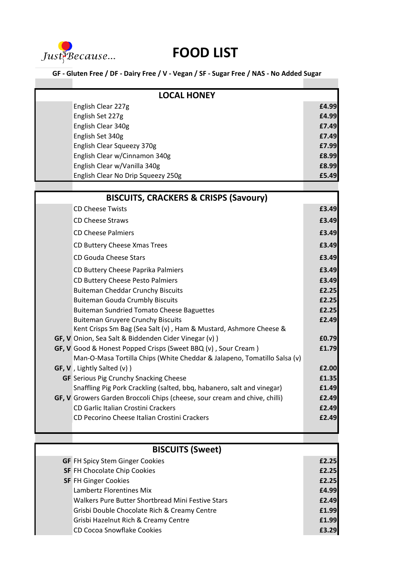

## **FOOD LIST**

÷

**GF - Gluten Free / DF - Dairy Free / V - Vegan / SF - Sugar Free / NAS - No Added Sugar**

| <b>LOCAL HONEY</b> |                                                                                                                                           |       |
|--------------------|-------------------------------------------------------------------------------------------------------------------------------------------|-------|
|                    | English Clear 227g                                                                                                                        | £4.99 |
|                    | English Set 227g                                                                                                                          | £4.99 |
|                    | English Clear 340g                                                                                                                        | £7.49 |
|                    | English Set 340g                                                                                                                          | £7.49 |
|                    | English Clear Squeezy 370g                                                                                                                | £7.99 |
|                    | English Clear w/Cinnamon 340g                                                                                                             | £8.99 |
|                    | English Clear w/Vanilla 340g                                                                                                              | £8.99 |
|                    | English Clear No Drip Squeezy 250g                                                                                                        | £5.49 |
|                    | <b>BISCUITS, CRACKERS &amp; CRISPS (Savoury)</b>                                                                                          |       |
|                    | <b>CD Cheese Twists</b>                                                                                                                   | £3.49 |
|                    |                                                                                                                                           |       |
|                    | <b>CD Cheese Straws</b>                                                                                                                   | £3.49 |
|                    | <b>CD Cheese Palmiers</b>                                                                                                                 | £3.49 |
|                    | CD Buttery Cheese Xmas Trees                                                                                                              | £3.49 |
|                    | CD Gouda Cheese Stars                                                                                                                     | £3.49 |
|                    | CD Buttery Cheese Paprika Palmiers                                                                                                        | £3.49 |
|                    | CD Buttery Cheese Pesto Palmiers                                                                                                          | £3.49 |
|                    | <b>Buiteman Cheddar Crunchy Biscuits</b>                                                                                                  | £2.25 |
|                    | <b>Buiteman Gouda Crumbly Biscuits</b>                                                                                                    | £2.25 |
|                    | <b>Buiteman Sundried Tomato Cheese Baguettes</b>                                                                                          | £2.25 |
|                    | <b>Buiteman Gruyere Crunchy Biscuits</b><br>Kent Crisps Sm Bag (Sea Salt (v), Ham & Mustard, Ashmore Cheese &                             | £2.49 |
|                    | GF, V Onion, Sea Salt & Biddenden Cider Vinegar (v) )                                                                                     | £0.79 |
|                    | GF, V Good & Honest Popped Crisps (Sweet BBQ (v), Sour Cream)<br>Man-O-Masa Tortilla Chips (White Cheddar & Jalapeno, Tomatillo Salsa (v) | £1.79 |
|                    | GF, V, Lightly Salted (v) )                                                                                                               | £2.00 |
|                    | <b>GF</b> Serious Pig Crunchy Snacking Cheese                                                                                             | £1.35 |
|                    | Snaffling Pig Pork Crackling (salted, bbq, habanero, salt and vinegar)                                                                    | £1.49 |
|                    | GF, V Growers Garden Broccoli Chips (cheese, sour cream and chive, chilli)                                                                | £2.49 |
|                    | CD Garlic Italian Crostini Crackers                                                                                                       | £2.49 |
|                    | CD Pecorino Cheese Italian Crostini Crackers                                                                                              | £2.49 |
|                    |                                                                                                                                           |       |
|                    | <b>BISCUITS (Sweet)</b>                                                                                                                   |       |
|                    | <b>GF FH Spicy Stem Ginger Cookies</b>                                                                                                    | £2.25 |
|                    | <b>SF FH Chocolate Chip Cookies</b>                                                                                                       | £2.25 |
|                    | <b>SF FH Ginger Cookies</b>                                                                                                               | £2.25 |
|                    | Lambertz Florentines Mix                                                                                                                  | £4.99 |
|                    | Walkers Pure Butter Shortbread Mini Festive Stars                                                                                         | £2.49 |
|                    | Grisbi Double Chocolate Rich & Creamy Centre                                                                                              | £1.99 |
|                    | Grisbi Hazelnut Rich & Creamy Centre                                                                                                      | £1.99 |
|                    | CD Cocoa Snowflake Cookies                                                                                                                | £3.29 |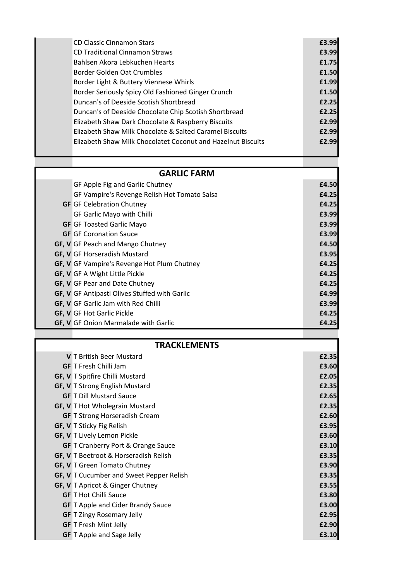| <b>CD Classic Cinnamon Stars</b>                             | £3.99 |
|--------------------------------------------------------------|-------|
| <b>CD Traditional Cinnamon Straws</b>                        | £3.99 |
| Bahlsen Akora Lebkuchen Hearts                               | £1.75 |
| Border Golden Oat Crumbles                                   | £1.50 |
| Border Light & Buttery Viennese Whirls                       | £1.99 |
| Border Seriously Spicy Old Fashioned Ginger Crunch           | £1.50 |
| Duncan's of Deeside Scotish Shortbread                       | £2.25 |
| Duncan's of Deeside Chocolate Chip Scotish Shortbread        | £2.25 |
| Elizabeth Shaw Dark Chocolate & Raspberry Biscuits           | £2.99 |
| Elizabeth Shaw Milk Chocolate & Salted Caramel Biscuits      | £2.99 |
| Elizabeth Shaw Milk Chocolatet Coconut and Hazelnut Biscuits | £2.99 |
|                                                              |       |
| <b>GARLIC FARM</b>                                           |       |
| GF Apple Fig and Garlic Chutney                              | £4.50 |
| GF Vampire's Revenge Relish Hot Tomato Salsa                 | £4.25 |
| <b>GF</b> GF Celebration Chutney                             | £4.25 |
| GF Garlic Mayo with Chilli                                   | £3.99 |
| <b>GF</b> GF Toasted Garlic Mayo                             | £3.99 |
| <b>GF</b> GF Coronation Sauce                                | £3.99 |
| GF, V GF Peach and Mango Chutney                             | £4.50 |
| GF, V GF Horseradish Mustard                                 | £3.95 |
| GF, V GF Vampire's Revenge Hot Plum Chutney                  | £4.25 |
| GF, V GF A Wight Little Pickle                               | £4.25 |
| GF, V GF Pear and Date Chutney                               | £4.25 |
| GF, V GF Antipasti Olives Stuffed with Garlic                | £4.99 |
| GF, V GF Garlic Jam with Red Chilli                          | £3.99 |
| <b>GF, V</b> GF Hot Garlic Pickle                            | £4.25 |
| GF, V GF Onion Marmalade with Garlic                         | £4.25 |
| <b>TRACKLEMENTS</b>                                          |       |
| V T British Beer Mustard                                     | £2.35 |
| <b>GF</b> T Fresh Chilli Jam                                 | £3.60 |
| GF, V T Spitfire Chilli Mustard                              | £2.05 |
| GF, V T Strong English Mustard                               | £2.35 |
| <b>GF</b> T Dill Mustard Sauce                               | £2.65 |
| <b>GF, V</b> T Hot Wholegrain Mustard                        | £2.35 |
| <b>GF</b> T Strong Horseradish Cream                         | £2.60 |
| GF, V T Sticky Fig Relish                                    | £3.95 |

**GF, V** T Lively Lemon Pickle **E3.60 GF** T Cranberry Port & Orange Sauce **£3.10 GF, V** T Beetroot & Horseradish Relish **E3.35 GF, V** T Green Tomato Chutney **E3.90 GF, V** T Cucumber and Sweet Pepper Relish **E3.35 GF, V** T Apricot & Ginger Chutney **E3.55 GF** T Hot Chilli Sauce **£3.80 GF** T Apple and Cider Brandy Sauce **£3.00 GF** T Zingy Rosemary Jelly **£2.95 GF** T Fresh Mint Jelly **£2.90 GF** T Apple and Sage Jelly **E3.10**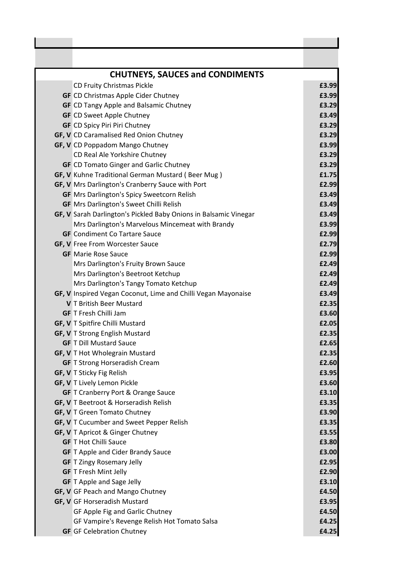| <b>CHUTNEYS, SAUCES and CONDIMENTS</b>                           |       |
|------------------------------------------------------------------|-------|
| CD Fruity Christmas Pickle                                       | £3.99 |
| <b>GF</b> CD Christmas Apple Cider Chutney                       | £3.99 |
| <b>GF</b> CD Tangy Apple and Balsamic Chutney                    | £3.29 |
| <b>GF</b> CD Sweet Apple Chutney                                 | £3.49 |
| <b>GF</b> CD Spicy Piri Piri Chutney                             | £3.29 |
| GF, V CD Caramalised Red Onion Chutney                           | £3.29 |
| GF, V CD Poppadom Mango Chutney                                  | £3.99 |
| CD Real Ale Yorkshire Chutney                                    | £3.29 |
| <b>GF</b> CD Tomato Ginger and Garlic Chutney                    | £3.29 |
| GF, V Kuhne Traditional German Mustard (Beer Mug)                | £1.75 |
| GF, V Mrs Darlington's Cranberry Sauce with Port                 | £2.99 |
| <b>GF</b> Mrs Darlington's Spicy Sweetcorn Relish                | £3.49 |
| <b>GF</b> Mrs Darlington's Sweet Chilli Relish                   | £3.49 |
| GF, V Sarah Darlington's Pickled Baby Onions in Balsamic Vinegar | £3.49 |
| Mrs Darlington's Marvelous Mincemeat with Brandy                 | £3.99 |
| <b>GF</b> Condiment Co Tartare Sauce                             | £2.99 |
| <b>GF, V</b> Free From Worcester Sauce                           | £2.79 |
| <b>GF</b> Marie Rose Sauce                                       | £2.99 |
| Mrs Darlington's Fruity Brown Sauce                              | £2.49 |
| Mrs Darlington's Beetroot Ketchup                                | £2.49 |
| Mrs Darlington's Tangy Tomato Ketchup                            | £2.49 |
| GF, V Inspired Vegan Coconut, Lime and Chilli Vegan Mayonaise    | £3.49 |
| V T British Beer Mustard                                         | £2.35 |
| <b>GF</b> T Fresh Chilli Jam                                     | £3.60 |
| GF, V T Spitfire Chilli Mustard                                  | £2.05 |
| GF, V T Strong English Mustard                                   | £2.35 |
| <b>GF</b> T Dill Mustard Sauce                                   | £2.65 |
| GF, V T Hot Wholegrain Mustard                                   | £2.35 |
| <b>GF</b> T Strong Horseradish Cream                             | £2.60 |
| <b>GF, V</b> T Sticky Fig Relish                                 | £3.95 |
| GF, V T Lively Lemon Pickle                                      | £3.60 |
| <b>GF</b> T Cranberry Port & Orange Sauce                        | £3.10 |
| GF, V T Beetroot & Horseradish Relish                            | £3.35 |
| GF, V T Green Tomato Chutney                                     | £3.90 |
| GF, V T Cucumber and Sweet Pepper Relish                         | £3.35 |
| GF, V T Apricot & Ginger Chutney                                 | £3.55 |
| <b>GF T Hot Chilli Sauce</b>                                     | £3.80 |
| <b>GF</b> T Apple and Cider Brandy Sauce                         | £3.00 |
| <b>GF</b> T Zingy Rosemary Jelly                                 | £2.95 |
| <b>GF</b> T Fresh Mint Jelly                                     | £2.90 |
| <b>GF</b> T Apple and Sage Jelly                                 | £3.10 |
| GF, V GF Peach and Mango Chutney                                 | £4.50 |
| GF, V GF Horseradish Mustard                                     | £3.95 |
| GF Apple Fig and Garlic Chutney                                  | £4.50 |
| GF Vampire's Revenge Relish Hot Tomato Salsa                     | £4.25 |
| <b>GF</b> GF Celebration Chutney                                 | £4.25 |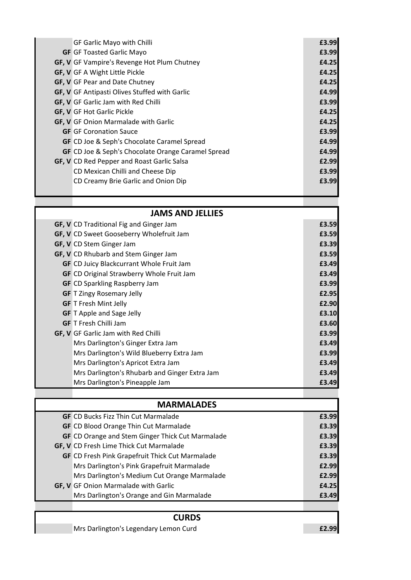| GF Garlic Mayo with Chilli                         | £3.99 |
|----------------------------------------------------|-------|
| <b>GF</b> GF Toasted Garlic Mayo                   | £3.99 |
| GF, V GF Vampire's Revenge Hot Plum Chutney        | £4.25 |
| GF, V GF A Wight Little Pickle                     | £4.25 |
| GF, V GF Pear and Date Chutney                     | £4.25 |
| GF, V GF Antipasti Olives Stuffed with Garlic      | £4.99 |
| GF, V GF Garlic Jam with Red Chilli                | £3.99 |
| <b>GF, V</b> GF Hot Garlic Pickle                  | £4.25 |
| GF, V GF Onion Marmalade with Garlic               | £4.25 |
| <b>GF</b> GF Coronation Sauce                      | £3.99 |
| <b>GF</b> CD Joe & Seph's Chocolate Caramel Spread | £4.99 |
| GF CD Joe & Seph's Chocolate Orange Caramel Spread | £4.99 |
| GF, V CD Red Pepper and Roast Garlic Salsa         | £2.99 |
| CD Mexican Chilli and Cheese Dip                   | £3.99 |
| CD Creamy Brie Garlic and Onion Dip                | £3.99 |

| <b>JAMS AND JELLIES</b> |                                                  |       |
|-------------------------|--------------------------------------------------|-------|
|                         | GF, V CD Traditional Fig and Ginger Jam          | £3.59 |
|                         | GF, V CD Sweet Gooseberry Wholefruit Jam         | £3.59 |
|                         | GF, V CD Stem Ginger Jam                         | £3.39 |
|                         | GF, V CD Rhubarb and Stem Ginger Jam             | £3.59 |
|                         | <b>GF</b> CD Juicy Blackcurrant Whole Fruit Jam  | £3.49 |
|                         | <b>GF</b> CD Original Strawberry Whole Fruit Jam | £3.49 |
|                         | <b>GF</b> CD Sparkling Raspberry Jam             | £3.99 |
|                         | <b>GF</b> T Zingy Rosemary Jelly                 | £2.95 |
|                         | <b>GF</b> T Fresh Mint Jelly                     | £2.90 |
|                         | <b>GF</b> T Apple and Sage Jelly                 | £3.10 |
|                         | <b>GF</b> T Fresh Chilli Jam                     | £3.60 |
|                         | GF, V GF Garlic Jam with Red Chilli              | £3.99 |
|                         | Mrs Darlington's Ginger Extra Jam                | £3.49 |
|                         | Mrs Darlington's Wild Blueberry Extra Jam        | £3.99 |
|                         | Mrs Darlington's Apricot Extra Jam               | £3.49 |
|                         | Mrs Darlington's Rhubarb and Ginger Extra Jam    | £3.49 |
|                         | Mrs Darlington's Pineapple Jam                   | £3.49 |
|                         |                                                  |       |

| <b>MARMALADES</b> |                                                         |       |
|-------------------|---------------------------------------------------------|-------|
|                   | <b>GF</b> CD Bucks Fizz Thin Cut Marmalade              | £3.99 |
|                   | <b>GF</b> CD Blood Orange Thin Cut Marmalade            | £3.39 |
|                   | <b>GF</b> CD Orange and Stem Ginger Thick Cut Marmalade | £3.39 |
|                   | GF, V CD Fresh Lime Thick Cut Marmalade                 | £3.39 |
|                   | <b>GF</b> CD Fresh Pink Grapefruit Thick Cut Marmalade  | £3.39 |
|                   | Mrs Darlington's Pink Grapefruit Marmalade              | £2.99 |
|                   | Mrs Darlington's Medium Cut Orange Marmalade            | £2.99 |
|                   | <b>GF, V</b> GF Onion Marmalade with Garlic             | £4.25 |
|                   | Mrs Darlington's Orange and Gin Marmalade               | £3.49 |
|                   |                                                         |       |
|                   |                                                         |       |

## **CURDS**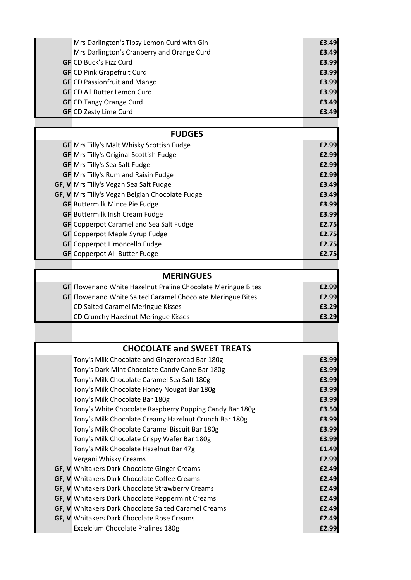| Mrs Darlington's Tipsy Lemon Curd with Gin                    | £3.49 |
|---------------------------------------------------------------|-------|
| Mrs Darlington's Cranberry and Orange Curd                    | £3.49 |
| <b>GF</b> CD Buck's Fizz Curd                                 | £3.99 |
| <b>GF</b> CD Pink Grapefruit Curd                             | £3.99 |
| <b>GF</b> CD Passionfruit and Mango                           | £3.99 |
| <b>GF</b> CD All Butter Lemon Curd                            | £3.99 |
| <b>GF</b> CD Tangy Orange Curd                                | £3.49 |
| <b>GF</b> CD Zesty Lime Curd                                  | £3.49 |
|                                                               |       |
| <b>FUDGES</b>                                                 |       |
| <b>GF</b> Mrs Tilly's Malt Whisky Scottish Fudge              | £2.99 |
| <b>GF</b> Mrs Tilly's Original Scottish Fudge                 | £2.99 |
| <b>GF</b> Mrs Tilly's Sea Salt Fudge                          | £2.99 |
| <b>GF</b> Mrs Tilly's Rum and Raisin Fudge                    | £2.99 |
| GF, V Mrs Tilly's Vegan Sea Salt Fudge                        | £3.49 |
| GF, V Mrs Tilly's Vegan Belgian Chocolate Fudge               | £3.49 |
| <b>GF</b> Buttermilk Mince Pie Fudge                          | £3.99 |
| <b>GF</b> Buttermilk Irish Cream Fudge                        | £3.99 |
| <b>GF</b> Copperpot Caramel and Sea Salt Fudge                | £2.75 |
| <b>GF</b> Copperpot Maple Syrup Fudge                         | £2.75 |
| <b>GF</b> Copperpot Limoncello Fudge                          | £2.75 |
| <b>GF</b> Copperpot All-Butter Fudge                          | £2.75 |
|                                                               |       |
| <b>MERINGUES</b>                                              |       |
| GF Flower and White Hazelnut Praline Chocolate Meringue Bites | £2.99 |
| GF Flower and White Salted Caramel Chocolate Meringue Bites   | £2.99 |
| CD Salted Caramel Meringue Kisses                             | £3.29 |
| CD Crunchy Hazelnut Meringue Kisses                           | £3.29 |
|                                                               |       |
| <b>CHOCOLATE and SWEET TREATS</b>                             |       |
| Tony's Milk Chocolate and Gingerbread Bar 180g                | £3.99 |
| Tony's Dark Mint Chocolate Candy Cane Bar 180g                | £3.99 |
| Tony's Milk Chocolate Caramel Sea Salt 180g                   | £3.99 |
| Tony's Milk Chocolate Honey Nougat Bar 180g                   | £3.99 |
| Tony's Milk Chocolate Bar 180g                                | £3.99 |
| Tony's White Chocolate Raspberry Popping Candy Bar 180g       | £3.50 |
| Tony's Milk Chocolate Creamy Hazelnut Crunch Bar 180g         | £3.99 |
| Tony's Milk Chocolate Caramel Biscuit Bar 180g                | £3.99 |
| Tony's Milk Chocolate Crispy Wafer Bar 180g                   | £3.99 |
| Tony's Milk Chocolate Hazelnut Bar 47g                        | £1.49 |
| Vergani Whisky Creams                                         | £2.99 |
| GF, V Whitakers Dark Chocolate Ginger Creams                  | £2.49 |
| GF, V Whitakers Dark Chocolate Coffee Creams                  | £2.49 |
| GF, V Whitakers Dark Chocolate Strawberry Creams              | £2.49 |
| GF, V Whitakers Dark Chocolate Peppermint Creams              | £2.49 |
| GF, V Whitakers Dark Chocolate Salted Caramel Creams          | £2.49 |
| GF, V Whitakers Dark Chocolate Rose Creams                    | £2.49 |
| Excelcium Chocolate Pralines 180g                             | £2.99 |
|                                                               |       |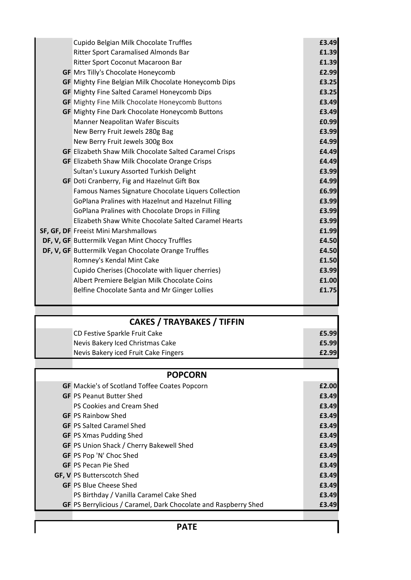| Cupido Belgian Milk Chocolate Truffles                        | £3.49        |
|---------------------------------------------------------------|--------------|
| Ritter Sport Caramalised Almonds Bar                          | £1.39        |
| Ritter Sport Coconut Macaroon Bar                             | £1.39        |
| <b>GF</b> Mrs Tilly's Chocolate Honeycomb                     | £2.99        |
| GF Mighty Fine Belgian Milk Chocolate Honeycomb Dips          | £3.25        |
| <b>GF</b> Mighty Fine Salted Caramel Honeycomb Dips           | £3.25        |
| <b>GF</b> Mighty Fine Milk Chocolate Honeycomb Buttons        | £3.49        |
| <b>GF</b> Mighty Fine Dark Chocolate Honeycomb Buttons        | £3.49        |
| Manner Neapolitan Wafer Biscuits                              | £0.99        |
| New Berry Fruit Jewels 280g Bag                               | £3.99        |
| New Berry Fruit Jewels 300g Box                               | £4.99        |
| <b>GF</b> Elizabeth Shaw Milk Chocolate Salted Caramel Crisps | £4.49        |
| <b>GF</b> Elizabeth Shaw Milk Chocolate Orange Crisps         | £4.49        |
| Sultan's Luxury Assorted Turkish Delight                      | £3.99        |
| GF Doti Cranberry, Fig and Hazelnut Gift Box                  | £4.99        |
| Famous Names Signature Chocolate Liquers Collection           | £6.99        |
| GoPlana Pralines with Hazelnut and Hazelnut Filling           | £3.99        |
| GoPlana Pralines with Chocolate Drops in Filling              | £3.99        |
| Elizabeth Shaw White Chocolate Salted Caramel Hearts          | £3.99        |
| SF, GF, DF Freeist Mini Marshmallows                          | £1.99        |
| DF, V, GF Buttermilk Vegan Mint Choccy Truffles               | £4.50        |
| DF, V, GF Buttermilk Vegan Chocolate Orange Truffles          | £4.50        |
| Romney's Kendal Mint Cake                                     | £1.50        |
| Cupido Cherises (Chocolate with liquer cherries)              | £3.99        |
| Albert Premiere Belgian Milk Chocolate Coins                  | £1.00        |
| Belfine Chocolate Santa and Mr Ginger Lollies                 | £1.75        |
|                                                               |              |
| <b>CAKES / TRAYBAKES / TIFFIN</b>                             |              |
| CD Festive Sparkle Fruit Cake                                 | £5.99        |
| Nevis Bakery Iced Christmas Cake                              | £5.99        |
| Nevis Bakery iced Fruit Cake Fingers                          | £2.99        |
| <b>POPCORN</b>                                                |              |
| <b>GE</b> Markie's of Scotland Toffee Coates Poncorn          | <b>£2 UU</b> |

| <b>GF</b> Mackie's of Scotland Toffee Coates Popcorn            | £2.00 |
|-----------------------------------------------------------------|-------|
| <b>GF PS Peanut Butter Shed</b>                                 | £3.49 |
| PS Cookies and Cream Shed                                       | £3.49 |
| <b>GF PS Rainbow Shed</b>                                       | £3.49 |
| <b>GF PS Salted Caramel Shed</b>                                | £3.49 |
| <b>GF</b> PS Xmas Pudding Shed                                  | £3.49 |
| <b>GF</b> PS Union Shack / Cherry Bakewell Shed                 | £3.49 |
| <b>GF</b> PS Pop 'N' Choc Shed                                  | £3.49 |
| <b>GF PS Pecan Pie Shed</b>                                     | £3.49 |
| <b>GF, V PS Butterscotch Shed</b>                               | £3.49 |
| <b>GF PS Blue Cheese Shed</b>                                   | £3.49 |
| PS Birthday / Vanilla Caramel Cake Shed                         | £3.49 |
| GF PS Berrylicious / Caramel, Dark Chocolate and Raspberry Shed | £3.49 |
|                                                                 |       |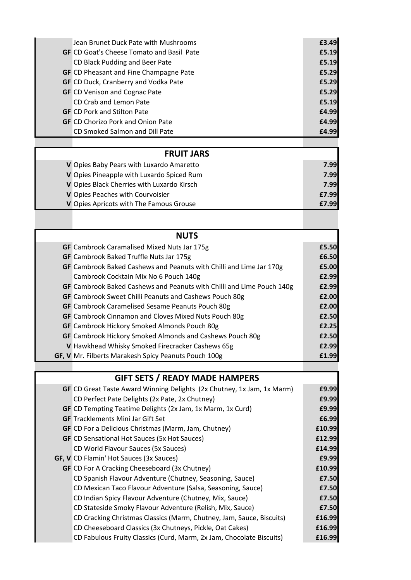| Jean Brunet Duck Pate with Mushrooms             | £3.49 |
|--------------------------------------------------|-------|
| <b>GF</b> CD Goat's Cheese Tomato and Basil Pate | £5.19 |
| CD Black Pudding and Beer Pate                   | £5.19 |
| <b>GF</b> CD Pheasant and Fine Champagne Pate    | £5.29 |
| <b>GF</b> CD Duck, Cranberry and Vodka Pate      | £5.29 |
| <b>GF</b> CD Venison and Cognac Pate             | £5.29 |
| CD Crab and Lemon Pate                           | £5.19 |
| <b>GF</b> CD Pork and Stilton Pate               | £4.99 |
| <b>GF</b> CD Chorizo Pork and Onion Pate         | £4.99 |
| CD Smoked Salmon and Dill Pate                   | £4.99 |

## **FRUIT JARS**

| V Opies Baby Pears with Luxardo Amaretto   | 7.99         |
|--------------------------------------------|--------------|
| V Opies Pineapple with Luxardo Spiced Rum  | 7.99         |
| V Opies Black Cherries with Luxardo Kirsch | 7.99         |
| V Opies Peaches with Courvoisier           | £7.99        |
| V Opies Apricots with The Famous Grouse    | <b>f7.99</b> |

| <b>NUTS</b> |                                                                       |       |
|-------------|-----------------------------------------------------------------------|-------|
|             | <b>GF</b> Cambrook Caramalised Mixed Nuts Jar 175g                    | £5.50 |
|             | <b>GF</b> Cambrook Baked Truffle Nuts Jar 175g                        | £6.50 |
|             | GF Cambrook Baked Cashews and Peanuts with Chilli and Lime Jar 170g   | £5.00 |
|             | Cambrook Cocktain Mix No 6 Pouch 140g                                 | £2.99 |
|             | GF Cambrook Baked Cashews and Peanuts with Chilli and Lime Pouch 140g | £2.99 |
|             | GF Cambrook Sweet Chilli Peanuts and Cashews Pouch 80g                | £2.00 |
|             | <b>GF</b> Cambrook Caramelised Sesame Peanuts Pouch 80g               | £2.00 |
|             | <b>GF</b> Cambrook Cinnamon and Cloves Mixed Nuts Pouch 80g           | £2.50 |
|             | <b>GF</b> Cambrook Hickory Smoked Almonds Pouch 80g                   | £2.25 |
|             | GF Cambrook Hickory Smoked Almonds and Cashews Pouch 80g              | £2.50 |
|             | V Hawkhead Whisky Smoked Firecracker Cashews 65g                      | £2.99 |
|             | GF, V Mr. Filberts Marakesh Spicy Peanuts Pouch 100g                  | £1.99 |
|             |                                                                       |       |

| <b>GIFT SETS / READY MADE HAMPERS</b> |                                                                        |        |
|---------------------------------------|------------------------------------------------------------------------|--------|
|                                       | GF CD Great Taste Award Winning Delights (2x Chutney, 1x Jam, 1x Marm) | £9.99  |
|                                       | CD Perfect Pate Delights (2x Pate, 2x Chutney)                         | £9.99  |
|                                       | GF CD Tempting Teatime Delights (2x Jam, 1x Marm, 1x Curd)             | £9.99  |
|                                       | <b>GF</b> Tracklements Mini Jar Gift Set                               | £6.99  |
|                                       | <b>GF</b> CD For a Delicious Christmas (Marm, Jam, Chutney)            | £10.99 |
|                                       | <b>GF</b> CD Sensational Hot Sauces (5x Hot Sauces)                    | £12.99 |
|                                       | CD World Flavour Sauces (5x Sauces)                                    | £14.99 |
|                                       | GF, V CD Flamin' Hot Sauces (3x Sauces)                                | £9.99  |
|                                       | <b>GF</b> CD For A Cracking Cheeseboard (3x Chutney)                   | £10.99 |
|                                       | CD Spanish Flavour Adventure (Chutney, Seasoning, Sauce)               | £7.50  |
|                                       | CD Mexican Taco Flavour Adventure (Salsa, Seasoning, Sauce)            | £7.50  |
|                                       | CD Indian Spicy Flavour Adventure (Chutney, Mix, Sauce)                | £7.50  |
|                                       | CD Stateside Smoky Flavour Adventure (Relish, Mix, Sauce)              | £7.50  |
|                                       | CD Cracking Christmas Classics (Marm, Chutney, Jam, Sauce, Biscuits)   | £16.99 |
|                                       | CD Cheeseboard Classics (3x Chutneys, Pickle, Oat Cakes)               | £16.99 |
|                                       | CD Fabulous Fruity Classics (Curd, Marm, 2x Jam, Chocolate Biscuits)   | £16.99 |